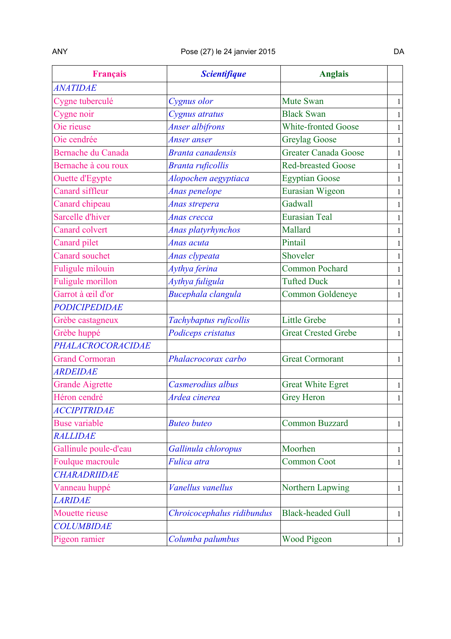| <b>Français</b>           | <b>Scientifique</b>        | <b>Anglais</b>              |              |
|---------------------------|----------------------------|-----------------------------|--------------|
| <b>ANATIDAE</b>           |                            |                             |              |
| Cygne tuberculé           | Cygnus olor                | Mute Swan                   | $\mathbf{1}$ |
| Cygne noir                | Cygnus atratus             | <b>Black Swan</b>           | $\mathbf{1}$ |
| Oie rieuse                | Anser albifrons            | <b>White-fronted Goose</b>  | $\mathbf{1}$ |
| Oie cendrée               | Anser anser                | <b>Greylag Goose</b>        | $\mathbf{1}$ |
| <b>Bernache du Canada</b> | <b>Branta canadensis</b>   | <b>Greater Canada Goose</b> | $\mathbf{1}$ |
| Bernache à cou roux       | <b>Branta ruficollis</b>   | <b>Red-breasted Goose</b>   | $\mathbf{1}$ |
| Ouette d'Egypte           | Alopochen aegyptiaca       | <b>Egyptian Goose</b>       | $\mathbf{1}$ |
| Canard siffleur           | Anas penelope              | Eurasian Wigeon             | $\mathbf{1}$ |
| Canard chipeau            | Anas strepera              | Gadwall                     | $\mathbf{1}$ |
| Sarcelle d'hiver          | Anas crecca                | <b>Eurasian Teal</b>        | $\mathbf{1}$ |
| <b>Canard colvert</b>     | Anas platyrhynchos         | Mallard                     | $\mathbf{1}$ |
| Canard pilet              | Anas acuta                 | Pintail                     | $\mathbf 1$  |
| <b>Canard souchet</b>     | Anas clypeata              | Shoveler                    | $\mathbf{1}$ |
| <b>Fuligule milouin</b>   | Aythya ferina              | <b>Common Pochard</b>       | $\mathbf{1}$ |
| <b>Fuligule morillon</b>  | Aythya fuligula            | <b>Tufted Duck</b>          | $\mathbf{1}$ |
| Garrot à œil d'or         | Bucephala clangula         | Common Goldeneye            | $\mathbf{1}$ |
| <b>PODICIPEDIDAE</b>      |                            |                             |              |
| Grèbe castagneux          | Tachybaptus ruficollis     | <b>Little Grebe</b>         | $\mathbf{1}$ |
| Grèbe huppé               | Podiceps cristatus         | <b>Great Crested Grebe</b>  | $\mathbf{1}$ |
| PHALACROCORACIDAE         |                            |                             |              |
| <b>Grand Cormoran</b>     | Phalacrocorax carbo        | <b>Great Cormorant</b>      | $\mathbf{1}$ |
| <b>ARDEIDAE</b>           |                            |                             |              |
| <b>Grande Aigrette</b>    | Casmerodius albus          | <b>Great White Egret</b>    | $\mathbf{1}$ |
| Héron cendré              | Ardea cinerea              | <b>Grey Heron</b>           | $\mathbf 1$  |
| <b>ACCIPITRIDAE</b>       |                            |                             |              |
| <b>Buse variable</b>      | <b>Buteo buteo</b>         | <b>Common Buzzard</b>       | $\mathbf{1}$ |
| <b>RALLIDAE</b>           |                            |                             |              |
| Gallinule poule-d'eau     | Gallinula chloropus        | Moorhen                     | $\mathbf{1}$ |
| Foulque macroule          | Fulica atra                | <b>Common Coot</b>          | $\mathbf{1}$ |
| <b>CHARADRIIDAE</b>       |                            |                             |              |
| Vanneau huppé             | Vanellus vanellus          | Northern Lapwing            | $\mathbf{1}$ |
| <b>LARIDAE</b>            |                            |                             |              |
| Mouette rieuse            | Chroicocephalus ridibundus | <b>Black-headed Gull</b>    | $\mathbf{1}$ |
| <b>COLUMBIDAE</b>         |                            |                             |              |
| Pigeon ramier             | Columba palumbus           | <b>Wood Pigeon</b>          | $\mathbf{1}$ |